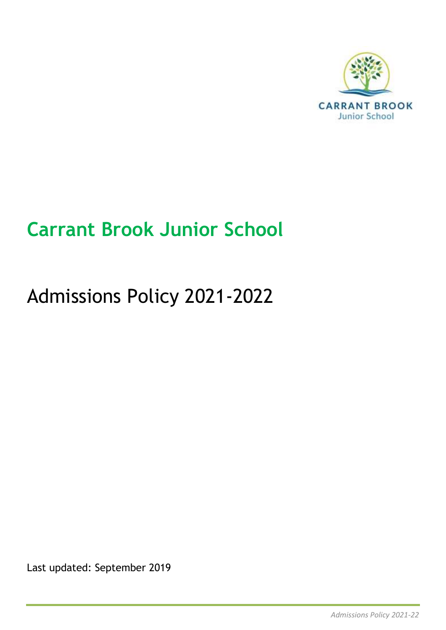

# **Carrant Brook Junior School**

# Admissions Policy 2021-2022

Last updated: September 2019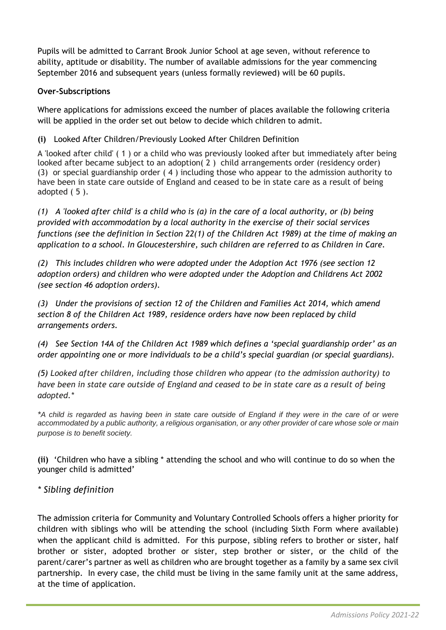Pupils will be admitted to Carrant Brook Junior School at age seven, without reference to ability, aptitude or disability. The number of available admissions for the year commencing September 2016 and subsequent years (unless formally reviewed) will be 60 pupils.

### **Over-Subscriptions**

Where applications for admissions exceed the number of places available the following criteria will be applied in the order set out below to decide which children to admit.

#### **(i)** Looked After Children/Previously Looked After Children Definition

A 'looked after child' ( 1 ) or a child who was previously looked after but immediately after being looked after became subject to an adoption( 2 ) child arrangements order (residency order) (3) or special guardianship order ( 4 ) including those who appear to the admission authority to have been in state care outside of England and ceased to be in state care as a result of being adopted ( 5 ).

*(1) A 'looked after child' is a child who is (a) in the care of a local authority, or (b) being provided with accommodation by a local authority in the exercise of their social services functions (see the definition in Section 22(1) of the Children Act 1989) at the time of making an application to a school. In Gloucestershire, such children are referred to as Children in Care.*

*(2) This includes children who were adopted under the Adoption Act 1976 (see section 12 adoption orders) and children who were adopted under the Adoption and Childrens Act 2002 (see section 46 adoption orders).*

*(3) Under the provisions of section 12 of the Children and Families Act 2014, which amend section 8 of the Children Act 1989, residence orders have now been replaced by child arrangements orders.*

*(4) See Section 14A of the Children Act 1989 which defines a 'special guardianship order' as an order appointing one or more individuals to be a child's special guardian (or special guardians).*

*(5) Looked after children, including those children who appear (to the admission authority) to* have been in state care outside of England and ceased to be in state care as a result of being *adopted.\**

\*A child is regarded as having been in state care outside of England if they were in the care of or were accommodated by a public authority, a religious organisation, or any other provider of care whose sole or main *purpose is to benefit society.*

**(ii)** 'Children who have a sibling \* attending the school and who will continue to do so when the younger child is admitted'

### *\* Sibling definition*

The admission criteria for Community and Voluntary Controlled Schools offers a higher priority for children with siblings who will be attending the school (including Sixth Form where available) when the applicant child is admitted. For this purpose, sibling refers to brother or sister, half brother or sister, adopted brother or sister, step brother or sister, or the child of the parent/carer's partner as well as children who are brought together as a family by a same sex civil partnership. In every case, the child must be living in the same family unit at the same address, at the time of application.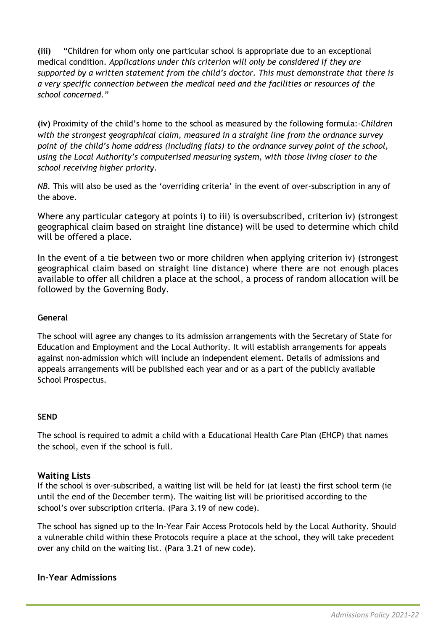**(iii)** "Children for whom only one particular school is appropriate due to an exceptional medical condition. *Applications under this criterion will only be considered if they are supported by a written statement from the child's doctor. This must demonstrate that there is a very specific connection between the medical need and the facilities or resources of the school concerned."*

**(iv)** Proximity of the child's home to the school as measured by the following formula:-*Children with the strongest geographical claim, measured in a straight line from the ordnance survey point of the child's home address (including flats) to the ordnance survey point of the school, using the Local Authority's computerised measuring system, with those living closer to the school receiving higher priority.*

*NB.* This will also be used as the 'overriding criteria' in the event of over-subscription in any of the above.

Where any particular category at points i) to iii) is oversubscribed, criterion iv) (strongest geographical claim based on straight line distance) will be used to determine which child will be offered a place.

In the event of a tie between two or more children when applying criterion iv) (strongest geographical claim based on straight line distance) where there are not enough places available to offer all children a place at the school, a process of random allocation will be followed by the Governing Body.

#### **General**

The school will agree any changes to its admission arrangements with the Secretary of State for Education and Employment and the Local Authority. It will establish arrangements for appeals against non-admission which will include an independent element. Details of admissions and appeals arrangements will be published each year and or as a part of the publicly available School Prospectus.

#### **SEND**

The school is required to admit a child with a Educational Health Care Plan (EHCP) that names the school, even if the school is full.

### **Waiting Lists**

If the school is over-subscribed, a waiting list will be held for (at least) the first school term (ie until the end of the December term). The waiting list will be prioritised according to the school's over subscription criteria. (Para 3.19 of new code).

The school has signed up to the In-Year Fair Access Protocols held by the Local Authority. Should a vulnerable child within these Protocols require a place at the school, they will take precedent over any child on the waiting list. (Para 3.21 of new code).

## **In-Year Admissions**